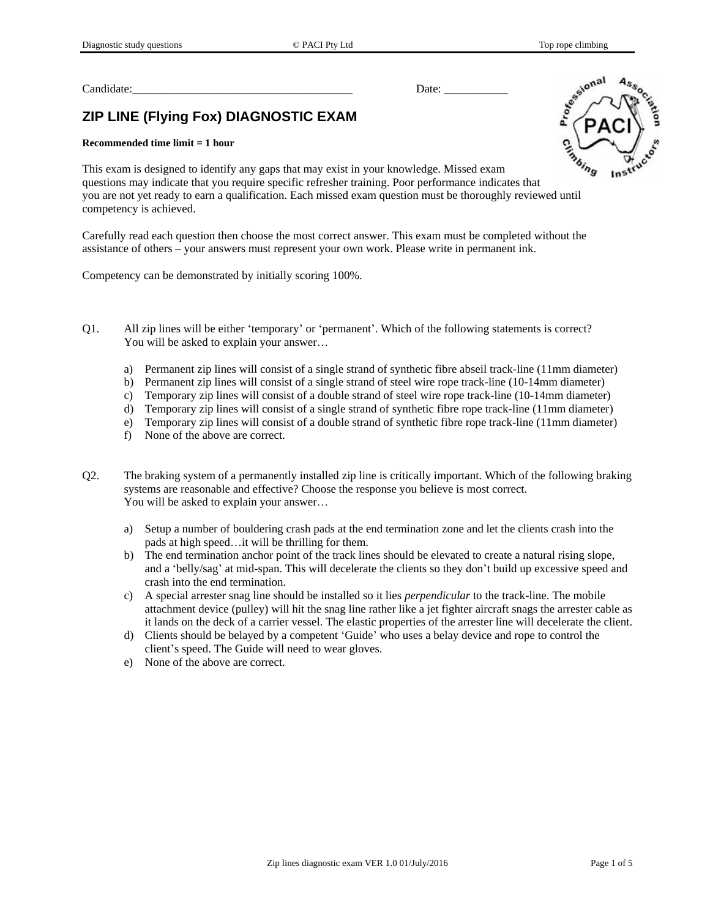Candidate:  $\Box$ 

# **ZIP LINE (Flying Fox) DIAGNOSTIC EXAM**

#### **Recommended time limit = 1 hour**

This exam is designed to identify any gaps that may exist in your knowledge. Missed exam questions may indicate that you require specific refresher training. Poor performance indicates that you are not yet ready to earn a qualification. Each missed exam question must be thoroughly reviewed until competency is achieved.

Carefully read each question then choose the most correct answer. This exam must be completed without the assistance of others – your answers must represent your own work. Please write in permanent ink.

Competency can be demonstrated by initially scoring 100%.

- Q1. All zip lines will be either 'temporary' or 'permanent'. Which of the following statements is correct? You will be asked to explain your answer…
	- a) Permanent zip lines will consist of a single strand of synthetic fibre abseil track-line (11mm diameter)
	- b) Permanent zip lines will consist of a single strand of steel wire rope track-line (10-14mm diameter)
	- c) Temporary zip lines will consist of a double strand of steel wire rope track-line (10-14mm diameter)
	- d) Temporary zip lines will consist of a single strand of synthetic fibre rope track-line (11mm diameter)
	- e) Temporary zip lines will consist of a double strand of synthetic fibre rope track-line (11mm diameter)
	- f) None of the above are correct.
- Q2. The braking system of a permanently installed zip line is critically important. Which of the following braking systems are reasonable and effective? Choose the response you believe is most correct. You will be asked to explain your answer…
	- a) Setup a number of bouldering crash pads at the end termination zone and let the clients crash into the pads at high speed…it will be thrilling for them.
	- b) The end termination anchor point of the track lines should be elevated to create a natural rising slope, and a 'belly/sag' at mid-span. This will decelerate the clients so they don't build up excessive speed and crash into the end termination.
	- c) A special arrester snag line should be installed so it lies *perpendicular* to the track-line. The mobile attachment device (pulley) will hit the snag line rather like a jet fighter aircraft snags the arrester cable as it lands on the deck of a carrier vessel. The elastic properties of the arrester line will decelerate the client.
	- d) Clients should be belayed by a competent 'Guide' who uses a belay device and rope to control the client's speed. The Guide will need to wear gloves.
	- e) None of the above are correct.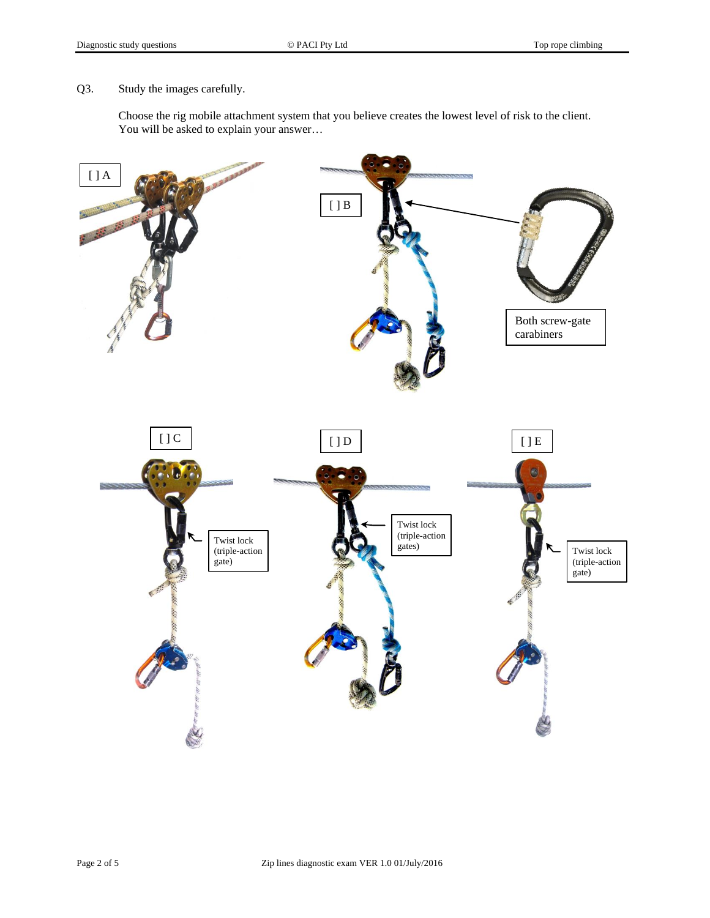Q3. Study the images carefully.

Choose the rig mobile attachment system that you believe creates the lowest level of risk to the client. You will be asked to explain your answer…

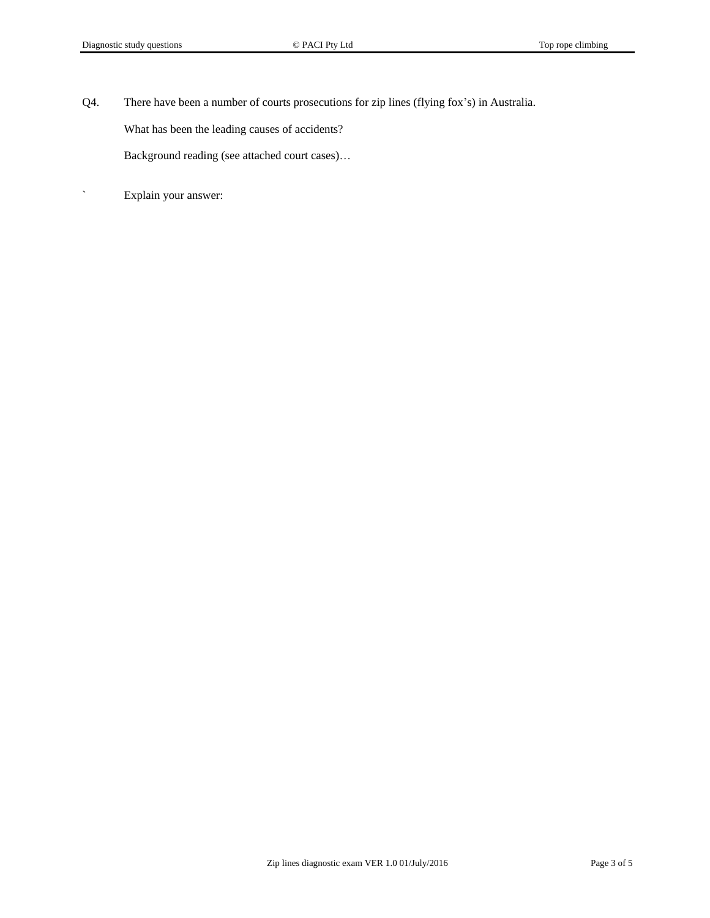Q4. There have been a number of courts prosecutions for zip lines (flying fox's) in Australia.

What has been the leading causes of accidents?

Background reading (see attached court cases)…

` Explain your answer: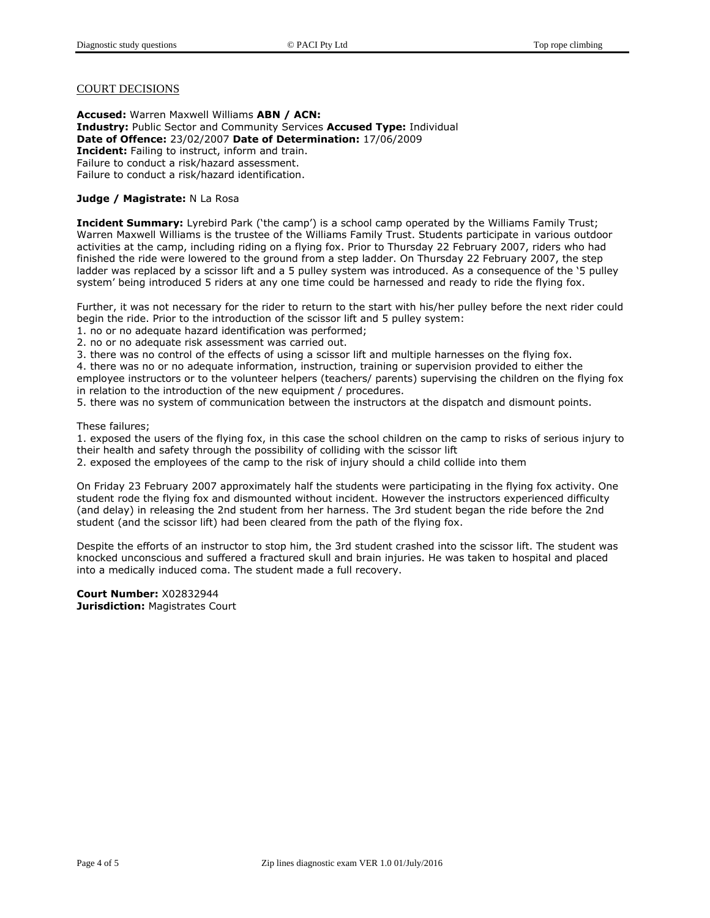### COURT DECISIONS

**Accused:** Warren Maxwell Williams **ABN / ACN: Industry:** Public Sector and Community Services **Accused Type:** Individual **Date of Offence:** 23/02/2007 **Date of Determination:** 17/06/2009 **Incident:** Failing to instruct, inform and train. Failure to conduct a risk/hazard assessment. Failure to conduct a risk/hazard identification.

#### **Judge / Magistrate:** N La Rosa

**Incident Summary:** Lyrebird Park ('the camp') is a school camp operated by the Williams Family Trust; Warren Maxwell Williams is the trustee of the Williams Family Trust. Students participate in various outdoor activities at the camp, including riding on a flying fox. Prior to Thursday 22 February 2007, riders who had finished the ride were lowered to the ground from a step ladder. On Thursday 22 February 2007, the step ladder was replaced by a scissor lift and a 5 pulley system was introduced. As a consequence of the '5 pulley system' being introduced 5 riders at any one time could be harnessed and ready to ride the flying fox.

Further, it was not necessary for the rider to return to the start with his/her pulley before the next rider could begin the ride. Prior to the introduction of the scissor lift and 5 pulley system:

- 1. no or no adequate hazard identification was performed;
- 2. no or no adequate risk assessment was carried out.

3. there was no control of the effects of using a scissor lift and multiple harnesses on the flying fox.

4. there was no or no adequate information, instruction, training or supervision provided to either the employee instructors or to the volunteer helpers (teachers/ parents) supervising the children on the flying fox in relation to the introduction of the new equipment / procedures.

5. there was no system of communication between the instructors at the dispatch and dismount points.

These failures;

1. exposed the users of the flying fox, in this case the school children on the camp to risks of serious injury to their health and safety through the possibility of colliding with the scissor lift

2. exposed the employees of the camp to the risk of injury should a child collide into them

On Friday 23 February 2007 approximately half the students were participating in the flying fox activity. One student rode the flying fox and dismounted without incident. However the instructors experienced difficulty (and delay) in releasing the 2nd student from her harness. The 3rd student began the ride before the 2nd student (and the scissor lift) had been cleared from the path of the flying fox.

Despite the efforts of an instructor to stop him, the 3rd student crashed into the scissor lift. The student was knocked unconscious and suffered a fractured skull and brain injuries. He was taken to hospital and placed into a medically induced coma. The student made a full recovery.

**Court Number:** X02832944 **Jurisdiction:** Magistrates Court